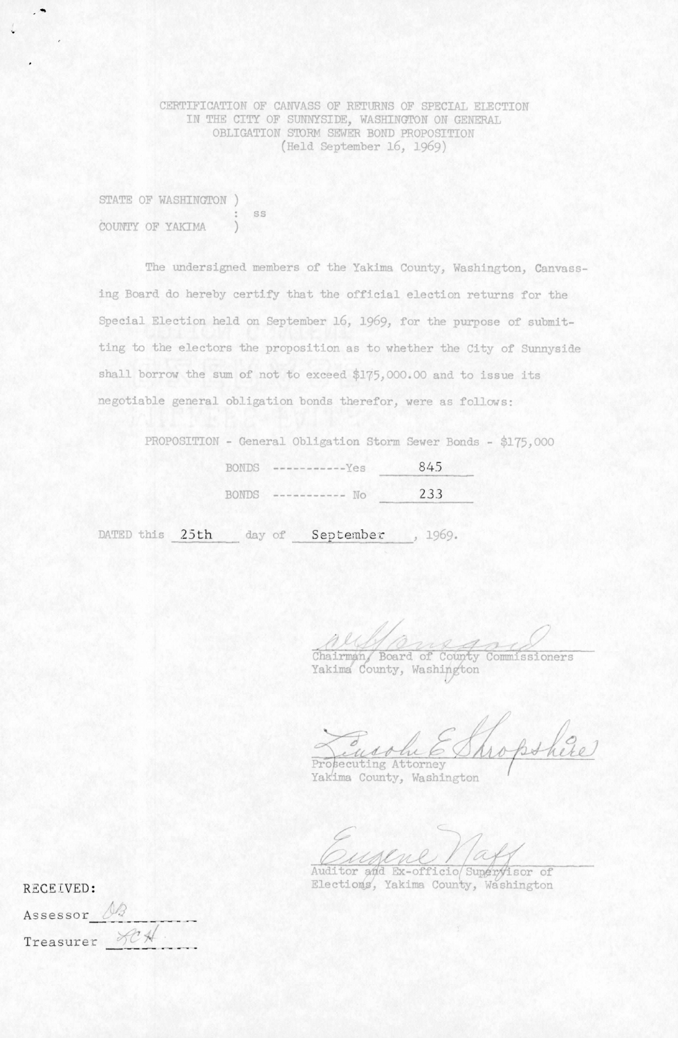CERTIFICATION OF CANVASS OF RETURNS OF SPECIAL ELECTION IN THE CITY OF SUNNYSIDE, WASHINGTON ON GENERAL OBLIGATION STORM SEWER BOND PROPOSITION (Held September 16, 1969)

STATE OF WASHINGTON ) ss COUNTY OF YAKIMA

 $\bullet$ 

The undersigned members of the Yakima County, Washington, Canvassing Board do hereby certify that the official election returns for the Special Election held on September 16, 1969, for the purpose of submitting to the electors the proposition as to whether the City of Sunnyside shall borrow the sum of not to exceed \$175,000.00 and to issue its negotiable general obligation bonds therefor, were as follows:

PROPOSITION - General Obligation Storm Sewer Bonds - \$175,000

|       | BONDS $-------Yes$ | 845 |
|-------|--------------------|-----|
| BONDS | $--- - --- - - -$  | 233 |

DATED this 25th day of September, 1969.

Chairman/ Board of County Commissioners

Yakima County, Washington

Bohere tee\_ok-/ Prosecuting Attorney

Yakima County, Washington

Auditor and Ex-officio Supervisor of

| RECEIVED:     |  | Elections, Yakima County, Washington |
|---------------|--|--------------------------------------|
| Assessor 02   |  |                                      |
| Treasurer SCH |  |                                      |